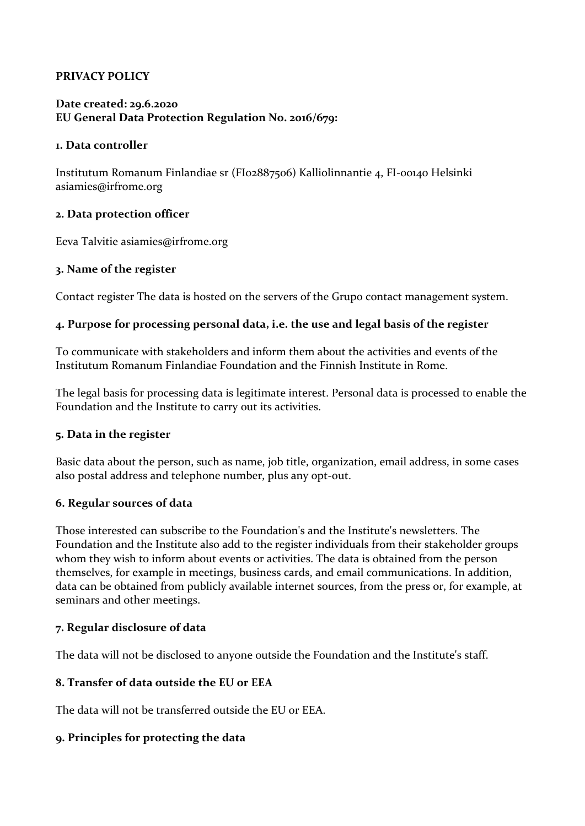# **PRIVACY POLICY**

### **Date created: 29.6.2020 EU General Data Protection Regulation No. 2016/679:**

#### **1. Data controller**

Institutum Romanum Finlandiae sr (FI02887506) Kalliolinnantie 4, FI-00140 Helsinki asiamies@irfrome.org

#### **2. Data protection officer**

Eeva Talvitie asiamies@irfrome.org

#### **3. Name of the register**

Contact register The data is hosted on the servers of the Grupo contact management system.

### **4. Purpose for processing personal data, i.e. the use and legal basis of the register**

To communicate with stakeholders and inform them about the activities and events of the Institutum Romanum Finlandiae Foundation and the Finnish Institute in Rome.

The legal basis for processing data is legitimate interest. Personal data is processed to enable the Foundation and the Institute to carry out its activities.

#### **5. Data in the register**

Basic data about the person, such as name, job title, organization, email address, in some cases also postal address and telephone number, plus any opt-out.

### **6. Regular sources of data**

Those interested can subscribe to the Foundation's and the Institute's newsletters. The Foundation and the Institute also add to the register individuals from their stakeholder groups whom they wish to inform about events or activities. The data is obtained from the person themselves, for example in meetings, business cards, and email communications. In addition, data can be obtained from publicly available internet sources, from the press or, for example, at seminars and other meetings.

### **7. Regular disclosure of data**

The data will not be disclosed to anyone outside the Foundation and the Institute's staff.

### **8. Transfer of data outside the EU or EEA**

The data will not be transferred outside the EU or EEA.

### **9. Principles for protecting the data**